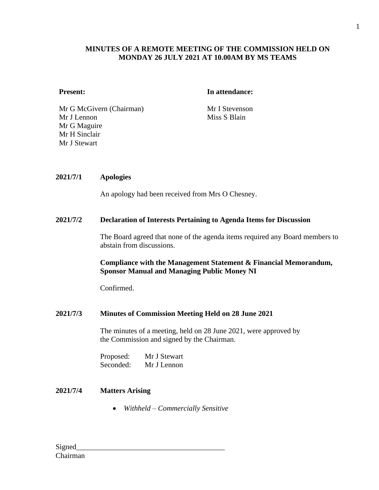# **MINUTES OF A REMOTE MEETING OF THE COMMISSION HELD ON MONDAY 26 JULY 2021 AT 10.00AM BY MS TEAMS**

### **Present: In attendance:**

Mr G McGivern (Chairman) Mr I Stevenson Mr J Lennon Mr G Maguire Mr H Sinclair Mr J Stewart

Miss S Blain

## **2021/7/1 Apologies**

An apology had been received from Mrs O Chesney.

### **2021/7/2 Declaration of Interests Pertaining to Agenda Items for Discussion**

The Board agreed that none of the agenda items required any Board members to abstain from discussions.

## **Compliance with the Management Statement & Financial Memorandum, Sponsor Manual and Managing Public Money NI**

Confirmed.

# **2021/7/3 Minutes of Commission Meeting Held on 28 June 2021**

The minutes of a meeting, held on 28 June 2021, were approved by the Commission and signed by the Chairman.

Proposed: Mr J Stewart Seconded: Mr J Lennon

# **2021/7/4 Matters Arising**

• *Withheld – Commercially Sensitive*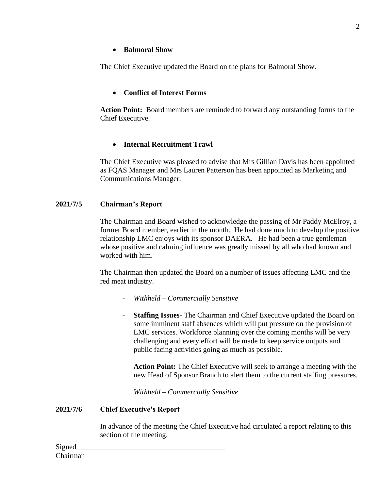### • **Balmoral Show**

The Chief Executive updated the Board on the plans for Balmoral Show.

### • **Conflict of Interest Forms**

**Action Point:** Board members are reminded to forward any outstanding forms to the Chief Executive.

### • **Internal Recruitment Trawl**

The Chief Executive was pleased to advise that Mrs Gillian Davis has been appointed as FQAS Manager and Mrs Lauren Patterson has been appointed as Marketing and Communications Manager.

#### **2021/7/5 Chairman's Report**

The Chairman and Board wished to acknowledge the passing of Mr Paddy McElroy, a former Board member, earlier in the month. He had done much to develop the positive relationship LMC enjoys with its sponsor DAERA. He had been a true gentleman whose positive and calming influence was greatly missed by all who had known and worked with him.

The Chairman then updated the Board on a number of issues affecting LMC and the red meat industry.

- *Withheld – Commercially Sensitive*
- **Staffing Issues-** The Chairman and Chief Executive updated the Board on some imminent staff absences which will put pressure on the provision of LMC services. Workforce planning over the coming months will be very challenging and every effort will be made to keep service outputs and public facing activities going as much as possible.

**Action Point:** The Chief Executive will seek to arrange a meeting with the new Head of Sponsor Branch to alert them to the current staffing pressures.

*Withheld – Commercially Sensitive*

#### **2021/7/6 Chief Executive's Report**

In advance of the meeting the Chief Executive had circulated a report relating to this section of the meeting.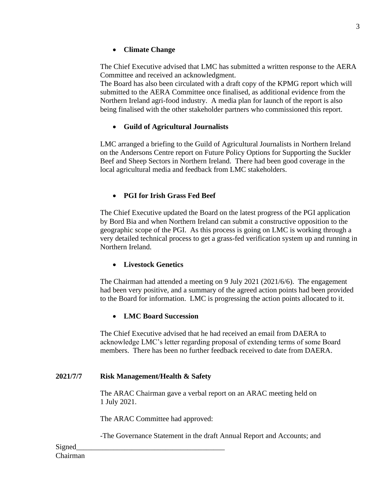# • **Climate Change**

The Chief Executive advised that LMC has submitted a written response to the AERA Committee and received an acknowledgment.

The Board has also been circulated with a draft copy of the KPMG report which will submitted to the AERA Committee once finalised, as additional evidence from the Northern Ireland agri-food industry. A media plan for launch of the report is also being finalised with the other stakeholder partners who commissioned this report.

# • **Guild of Agricultural Journalists**

LMC arranged a briefing to the Guild of Agricultural Journalists in Northern Ireland on the Andersons Centre report on Future Policy Options for Supporting the Suckler Beef and Sheep Sectors in Northern Ireland. There had been good coverage in the local agricultural media and feedback from LMC stakeholders.

# • **PGI for Irish Grass Fed Beef**

The Chief Executive updated the Board on the latest progress of the PGI application by Bord Bia and when Northern Ireland can submit a constructive opposition to the geographic scope of the PGI. As this process is going on LMC is working through a very detailed technical process to get a grass-fed verification system up and running in Northern Ireland.

# • **Livestock Genetics**

The Chairman had attended a meeting on 9 July 2021 (2021/6/6). The engagement had been very positive, and a summary of the agreed action points had been provided to the Board for information. LMC is progressing the action points allocated to it.

# • **LMC Board Succession**

The Chief Executive advised that he had received an email from DAERA to acknowledge LMC's letter regarding proposal of extending terms of some Board members. There has been no further feedback received to date from DAERA.

# **2021/7/7 Risk Management/Health & Safety**

The ARAC Chairman gave a verbal report on an ARAC meeting held on 1 July 2021.

The ARAC Committee had approved:

-The Governance Statement in the draft Annual Report and Accounts; and

Signed Chairman